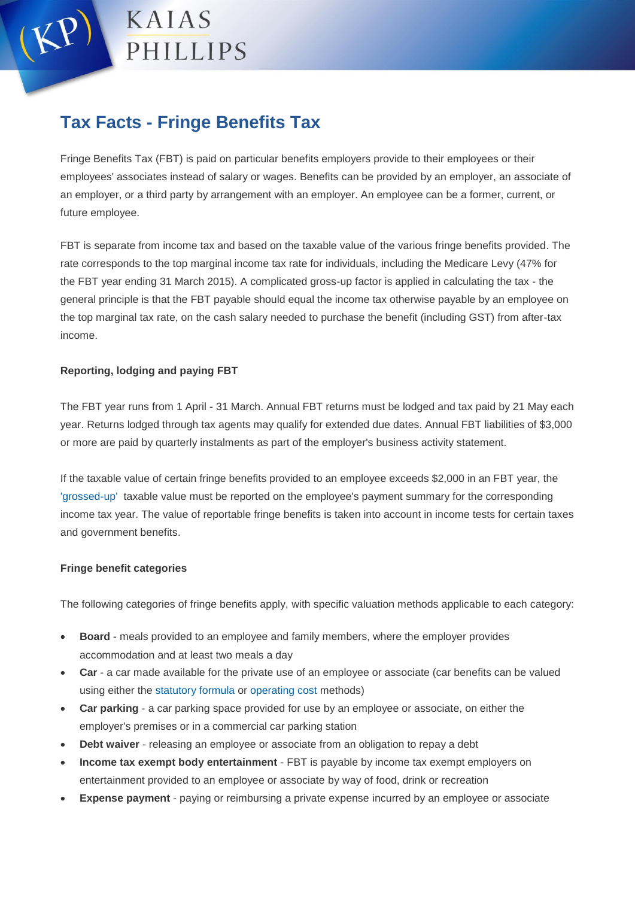KAIAS PHILLIPS

## **Tax Facts - Fringe Benefits Tax**

Fringe Benefits Tax (FBT) is paid on particular benefits employers provide to their employees or their employees' associates instead of salary or wages. Benefits can be provided by an employer, an associate of an employer, or a third party by arrangement with an employer. An employee can be a former, current, or future employee.

FBT is separate from income tax and based on the taxable value of the various fringe benefits provided. The rate corresponds to the top marginal income tax rate for individuals, including the Medicare Levy (47% for the FBT year ending 31 March 2015). A complicated gross-up factor is applied in calculating the tax - the general principle is that the FBT payable should equal the income tax otherwise payable by an employee on the top marginal tax rate, on the cash salary needed to purchase the benefit (including GST) from after-tax income.

## **Reporting, lodging and paying FBT**

The FBT year runs from 1 April - 31 March. Annual FBT returns must be lodged and tax paid by 21 May each year. Returns lodged through tax agents may qualify for extended due dates. Annual FBT liabilities of \$3,000 or more are paid by quarterly instalments as part of the employer's business activity statement.

If the taxable value of certain fringe benefits provided to an employee exceeds \$2,000 in an FBT year, the ['grossed-up'](https://www.ato.gov.au/General/Fringe-benefits-tax/In-detail/Employers-guide/Reportable-fringe-benefits/?page=5#5_4_Reporting_amounts_on_payment_summaries) taxable value must be reported on the employee's payment summary for the corresponding income tax year. The value of reportable fringe benefits is taken into account in income tests for certain taxes and government benefits.

## **Fringe benefit categories**

The following categories of fringe benefits apply, with specific valuation methods applicable to each category:

- **Board** meals provided to an employee and family members, where the employer provides accommodation and at least two meals a day
- **Car** a car made available for the private use of an employee or associate (car benefits can be valued using either the [statutory formula](https://www.ato.gov.au/General/Fringe-benefits-tax/In-detail/Reporting,-lodging-and-paying/Completing-your-2014-FBT-return/?page=12#A___Cars_using_the_statutory_formula) or [operating cost](https://www.ato.gov.au/General/Fringe-benefits-tax/In-detail/Reporting,-lodging-and-paying/Completing-your-2014-FBT-return/?page=13#B___Cars_using_the_operating_cost_method) methods)
- **Car parking** a car parking space provided for use by an employee or associate, on either the employer's premises or in a commercial car parking station
- **Debt waiver** releasing an employee or associate from an obligation to repay a debt
- **Income tax exempt body entertainment** FBT is payable by income tax exempt employers on entertainment provided to an employee or associate by way of food, drink or recreation
- **Expense payment** paying or reimbursing a private expense incurred by an employee or associate